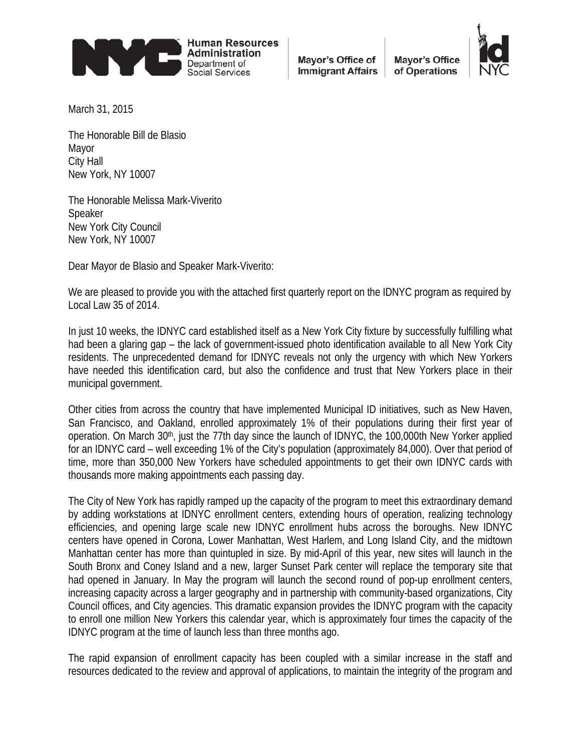

Mayor's Office of **Immigrant Affairs** 

**Mavor's Office** of Operations



March 31, 2015

The Honorable Bill de Blasio Mayor City Hall New York, NY 10007

The Honorable Melissa Mark-Viverito Speaker New York City Council New York, NY 10007

Dear Mayor de Blasio and Speaker Mark-Viverito:

We are pleased to provide you with the attached first quarterly report on the IDNYC program as required by Local Law 35 of 2014.

In just 10 weeks, the IDNYC card established itself as a New York City fixture by successfully fulfilling what had been a glaring gap – the lack of government-issued photo identification available to all New York City residents. The unprecedented demand for IDNYC reveals not only the urgency with which New Yorkers have needed this identification card, but also the confidence and trust that New Yorkers place in their municipal government.

Other cities from across the country that have implemented Municipal ID initiatives, such as New Haven, San Francisco, and Oakland, enrolled approximately 1% of their populations during their first year of operation. On March 30<sup>th</sup>, just the 77th day since the launch of IDNYC, the 100,000th New Yorker applied for an IDNYC card – well exceeding 1% of the City's population (approximately 84,000). Over that period of time, more than 350,000 New Yorkers have scheduled appointments to get their own IDNYC cards with thousands more making appointments each passing day.

The City of New York has rapidly ramped up the capacity of the program to meet this extraordinary demand by adding workstations at IDNYC enrollment centers, extending hours of operation, realizing technology efficiencies, and opening large scale new IDNYC enrollment hubs across the boroughs. New IDNYC centers have opened in Corona, Lower Manhattan, West Harlem, and Long Island City, and the midtown Manhattan center has more than quintupled in size. By mid-April of this year, new sites will launch in the South Bronx and Coney Island and a new, larger Sunset Park center will replace the temporary site that had opened in January. In May the program will launch the second round of pop-up enrollment centers, increasing capacity across a larger geography and in partnership with community-based organizations, City Council offices, and City agencies. This dramatic expansion provides the IDNYC program with the capacity to enroll one million New Yorkers this calendar year, which is approximately four times the capacity of the IDNYC program at the time of launch less than three months ago.

<span id="page-0-0"></span>The rapid expansion of enrollment capacity has been coupled with a similar increase in the staff and resources dedicated to the review and approval of applications, to maintain the integrity of the program and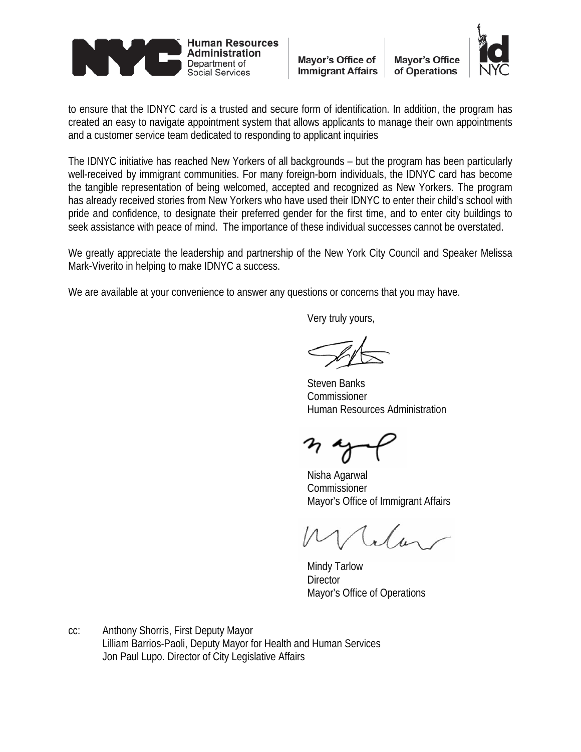

Mayor's Office of **Mayor's Office Immigrant Affairs** of Operations



to ensure that the IDNYC card is a trusted and secure form of identification. In addition, the program has created an easy to navigate appointment system that allows applicants to manage their own appointments and a customer service team dedicated to responding to applicant inquiries

The IDNYC initiative has reached New Yorkers of all backgrounds – but the program has been particularly well-received by immigrant communities. For many foreign-born individuals, the IDNYC card has become the tangible representation of being welcomed, accepted and recognized as New Yorkers. The program has already received stories from New Yorkers who have used their IDNYC to enter their child's school with pride and confidence, to designate their preferred gender for the first time, and to enter city buildings to seek assistance with peace of mind. The importance of these individual successes cannot be overstated.

We greatly appreciate the leadership and partnership of the New York City Council and Speaker Melissa Mark-Viverito in helping to make IDNYC a success.

We are available at your convenience to answer any questions or concerns that you may have.

Very truly yours,

Steven Banks Commissioner Human Resources Administration

Nisha Agarwal Commissioner Mayor's Office of Immigrant Affairs

Mindy Tarlow **Director** Mayor's Office of Operations

cc: Anthony Shorris, First Deputy Mayor Lilliam Barrios-Paoli, Deputy Mayor for Health and Human Services Jon Paul Lupo. Director of City Legislative Affairs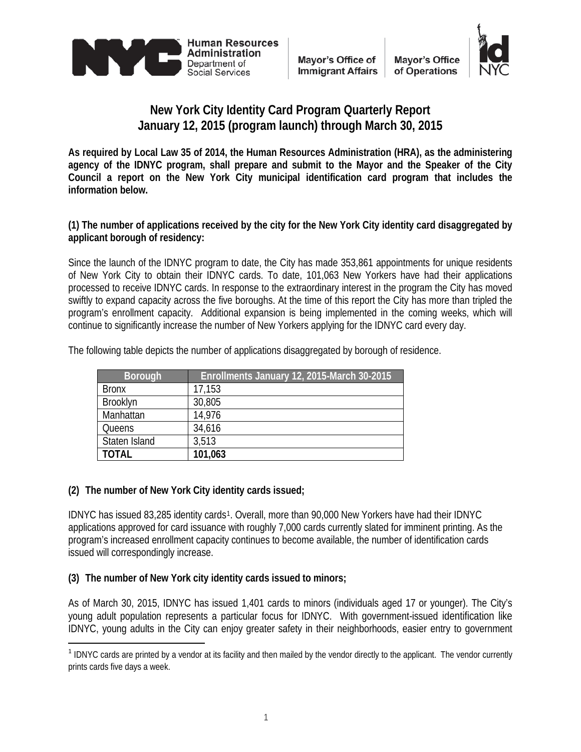



# **New York City Identity Card Program Quarterly Report January 12, 2015 (program launch) through March 30, 2015**

**As required by Local Law 35 of 2014, the Human Resources Administration (HRA), as the administering agency of the IDNYC program, shall prepare and submit to the Mayor and the Speaker of the City Council a report on the New York City municipal identification card program that includes the information below.**

**(1) The number of applications received by the city for the New York City identity card disaggregated by applicant borough of residency:**

Since the launch of the IDNYC program to date, the City has made 353,861 appointments for unique residents of New York City to obtain their IDNYC cards. To date, 101,063 New Yorkers have had their applications processed to receive IDNYC cards. In response to the extraordinary interest in the program the City has moved swiftly to expand capacity across the five boroughs. At the time of this report the City has more than tripled the program's enrollment capacity. Additional expansion is being implemented in the coming weeks, which will continue to significantly increase the number of New Yorkers applying for the IDNYC card every day.

| <b>Borough</b> | Enrollments January 12, 2015-March 30-2015 |
|----------------|--------------------------------------------|
| <b>Bronx</b>   | 17,153                                     |
| Brooklyn       | 30,805                                     |
| Manhattan      | 14.976                                     |
| Queens         | 34,616                                     |
| Staten Island  | 3,513                                      |
| <b>TOTAL</b>   | 101,063                                    |

The following table depicts the number of applications disaggregated by borough of residence.

# **(2) The number of New York City identity cards issued;**

IDNYC has issued 83,285 identity cards<sup>1</sup>. Overall, more than 90,000 New Yorkers have had their IDNYC applications approved for card issuance with roughly 7,000 cards currently slated for imminent printing. As the program's increased enrollment capacity continues to become available, the number of identification cards issued will correspondingly increase.

# **(3) The number of New York city identity cards issued to minors;**

As of March 30, 2015, IDNYC has issued 1,401 cards to minors (individuals aged 17 or younger). The City's young adult population represents a particular focus for IDNYC. With government-issued identification like IDNYC, young adults in the City can enjoy greater safety in their neighborhoods, easier entry to government

<span id="page-2-0"></span><sup>&</sup>lt;sup>1</sup> IDNYC cards are printed by a vendor at its facility and then mailed by the vendor directly to the applicant. The vendor currently prints cards five days a week.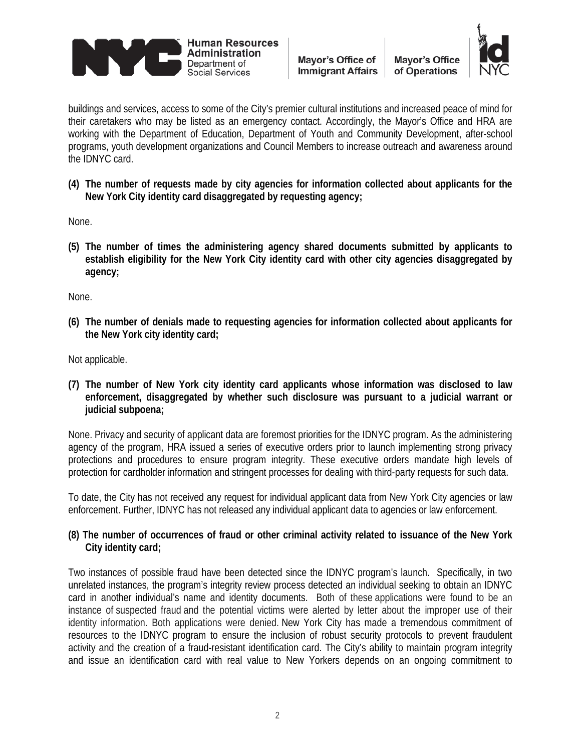

**Mayor's Office** of Operations



buildings and services, access to some of the City's premier cultural institutions and increased peace of mind for their caretakers who may be listed as an emergency contact. Accordingly, the Mayor's Office and HRA are working with the Department of Education, Department of Youth and Community Development, after-school programs, youth development organizations and Council Members to increase outreach and awareness around the IDNYC card.

**(4) The number of requests made by city agencies for information collected about applicants for the New York City identity card disaggregated by requesting agency;**

None.

**(5) The number of times the administering agency shared documents submitted by applicants to establish eligibility for the New York City identity card with other city agencies disaggregated by agency;**

None.

**(6) The number of denials made to requesting agencies for information collected about applicants for the New York city identity card;**

Not applicable.

**(7) The number of New York city identity card applicants whose information was disclosed to law enforcement, disaggregated by whether such disclosure was pursuant to a judicial warrant or judicial subpoena;**

None. Privacy and security of applicant data are foremost priorities for the IDNYC program. As the administering agency of the program, HRA issued a series of executive orders prior to launch implementing strong privacy protections and procedures to ensure program integrity. These executive orders mandate high levels of protection for cardholder information and stringent processes for dealing with third-party requests for such data.

To date, the City has not received any request for individual applicant data from New York City agencies or law enforcement. Further, IDNYC has not released any individual applicant data to agencies or law enforcement.

### **(8) The number of occurrences of fraud or other criminal activity related to issuance of the New York City identity card;**

Two instances of possible fraud have been detected since the IDNYC program's launch. Specifically, in two unrelated instances, the program's integrity review process detected an individual seeking to obtain an IDNYC card in another individual's name and identity documents. Both of these applications were found to be an instance of suspected fraud and the potential victims were alerted by letter about the improper use of their identity information. Both applications were denied. New York City has made a tremendous commitment of resources to the IDNYC program to ensure the inclusion of robust security protocols to prevent fraudulent activity and the creation of a fraud-resistant identification card. The City's ability to maintain program integrity and issue an identification card with real value to New Yorkers depends on an ongoing commitment to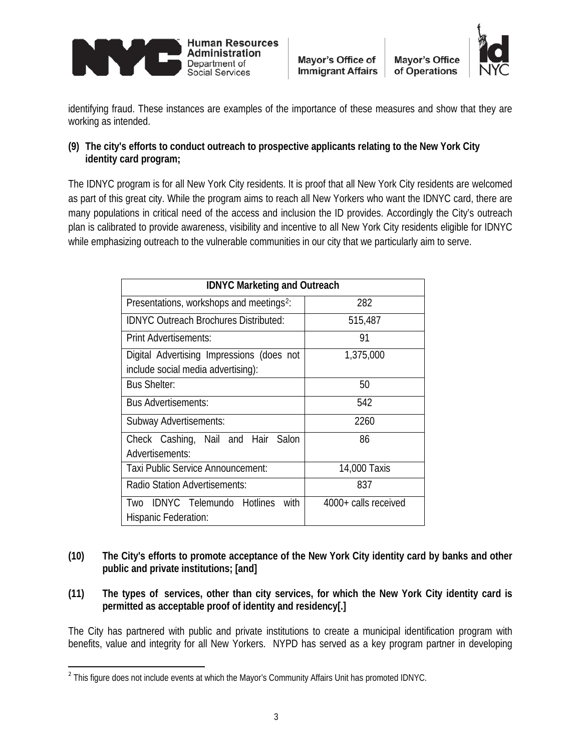



identifying fraud. These instances are examples of the importance of these measures and show that they are working as intended.

### **(9) The city's efforts to conduct outreach to prospective applicants relating to the New York City identity card program;**

The IDNYC program is for all New York City residents. It is proof that all New York City residents are welcomed as part of this great city. While the program aims to reach all New Yorkers who want the IDNYC card, there are many populations in critical need of the access and inclusion the ID provides. Accordingly the City's outreach plan is calibrated to provide awareness, visibility and incentive to all New York City residents eligible for IDNYC while emphasizing outreach to the vulnerable communities in our city that we particularly aim to serve.

| <b>IDNYC Marketing and Outreach</b>                                             |                      |  |
|---------------------------------------------------------------------------------|----------------------|--|
| Presentations, workshops and meetings <sup>2</sup> :                            | 282                  |  |
| <b>IDNYC Outreach Brochures Distributed:</b>                                    | 515,487              |  |
| Print Advertisements:                                                           | 91                   |  |
| Digital Advertising Impressions (does not<br>include social media advertising): | 1,375,000            |  |
| <b>Bus Shelter:</b>                                                             | 50                   |  |
| <b>Bus Advertisements:</b>                                                      | 542                  |  |
| Subway Advertisements:                                                          | 2260                 |  |
| Check Cashing, Nail and Hair Salon<br>Advertisements:                           | 86                   |  |
| Taxi Public Service Announcement:                                               | 14,000 Taxis         |  |
| Radio Station Advertisements:                                                   | 837                  |  |
| Two IDNYC Telemundo Hotlines<br>with<br>Hispanic Federation:                    | 4000+ calls received |  |

- **(10) The City's efforts to promote acceptance of the New York City identity card by banks and other public and private institutions; [and]**
- **(11) The types of services, other than city services, for which the New York City identity card is permitted as acceptable proof of identity and residency[.]**

The City has partnered with public and private institutions to create a municipal identification program with benefits, value and integrity for all New Yorkers. NYPD has served as a key program partner in developing

<sup>&</sup>lt;sup>2</sup> This figure does not include events at which the Mayor's Community Affairs Unit has promoted IDNYC.